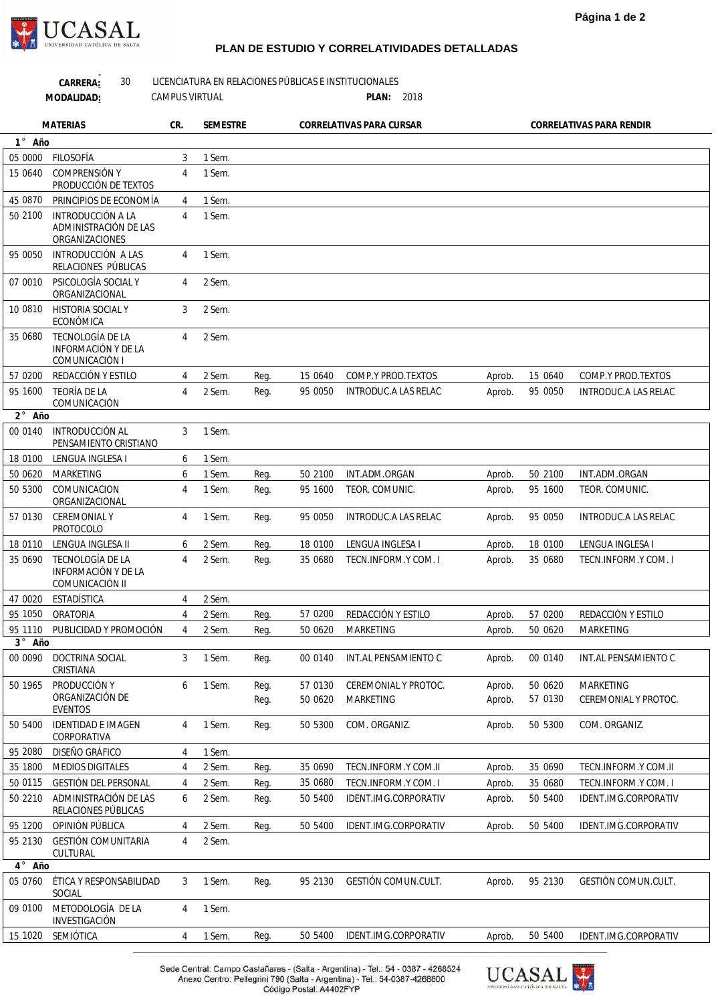**Página 1 de 2**



 $\overline{a}$ 

## **PLAN DE ESTUDIO Y CORRELATIVIDADES DETALLADAS**

|                               | 30<br>CARRERA:<br>MODALIDAD:                               | <b>CAMPUS VIRTUAL</b> |                 |      | LICENCIATURA EN RELACIONES PÚBLICAS E INSTITUCIONALES<br>PLAN: 2018 |                             |        |         |                          |
|-------------------------------|------------------------------------------------------------|-----------------------|-----------------|------|---------------------------------------------------------------------|-----------------------------|--------|---------|--------------------------|
|                               | <b>MATERIAS</b>                                            | CR.                   | <b>SEMESTRE</b> |      |                                                                     | CORRELATIVAS PARA CURSAR    |        |         | CORRELATIVAS PARA RENDIR |
| 1° Año                        |                                                            |                       |                 |      |                                                                     |                             |        |         |                          |
| 05 0000                       | FILOSOFÍA                                                  | 3                     | 1 Sem.          |      |                                                                     |                             |        |         |                          |
| 15 0640                       | <b>COMPRENSIÓN Y</b><br>PRODUCCIÓN DE TEXTOS               | $\overline{4}$        | 1 Sem.          |      |                                                                     |                             |        |         |                          |
| 45 0870                       | PRINCIPIOS DE ECONOMÍA                                     | 4                     | 1 Sem.          |      |                                                                     |                             |        |         |                          |
| 50 2100                       | INTRODUCCIÓN A LA                                          | $\overline{4}$        | 1 Sem.          |      |                                                                     |                             |        |         |                          |
|                               | ADMINISTRACIÓN DE LAS<br>ORGANIZACIONES                    |                       |                 |      |                                                                     |                             |        |         |                          |
| 95 0050                       | INTRODUCCIÓN A LAS<br>RELACIONES PÚBLICAS                  | 4                     | 1 Sem.          |      |                                                                     |                             |        |         |                          |
| 07 0010                       | PSICOLOGÍA SOCIAL Y<br>ORGANIZACIONAL                      | $\overline{4}$        | 2 Sem.          |      |                                                                     |                             |        |         |                          |
| 10 0810                       | <b>HISTORIA SOCIAL Y</b><br>ECONÓMICA                      | 3                     | 2 Sem.          |      |                                                                     |                             |        |         |                          |
| 35 0680                       | TECNOLOGÍA DE LA<br>INFORMACIÓN Y DE LA<br>COMUNICACIÓN I  | $\overline{4}$        | 2 Sem.          |      |                                                                     |                             |        |         |                          |
| 57 0200                       | REDACCIÓN Y ESTILO                                         | 4                     | 2 Sem.          | Reg. | 15 0640                                                             | COMP.Y PROD.TEXTOS          | Aprob. | 15 0640 | COMP.Y PROD.TEXTOS       |
| 95 1600                       | TEORÍA DE LA<br>COMUNICACIÓN                               | 4                     | 2 Sem.          | Reg. | 95 0050                                                             | <b>INTRODUC.A LAS RELAC</b> | Aprob. | 95 0050 | INTRODUC.A LAS RELAC     |
| $2^{\circ}$<br>Año            |                                                            |                       |                 |      |                                                                     |                             |        |         |                          |
| 00 0140                       | INTRODUCCIÓN AL<br>PENSAMIENTO CRISTIANO                   | 3                     | 1 Sem.          |      |                                                                     |                             |        |         |                          |
| 18 0100                       | LENGUA INGLESA I                                           | 6                     | 1 Sem.          |      |                                                                     |                             |        |         |                          |
| 50 0620                       | <b>MARKETING</b>                                           | 6                     | 1 Sem.          | Req. | 50 2100                                                             | INT.ADM.ORGAN               | Aprob. | 50 2100 | INT.ADM.ORGAN            |
| 50 5300                       | COMUNICACION<br>ORGANIZACIONAL                             | 4                     | 1 Sem.          | Reg. | 95 1600                                                             | TEOR. COMUNIC.              | Aprob. | 95 1600 | TEOR. COMUNIC.           |
| 57 0130                       | <b>CEREMONIAL Y</b><br><b>PROTOCOLO</b>                    | $\overline{4}$        | 1 Sem.          | Reg. | 95 0050                                                             | INTRODUC.A LAS RELAC        | Aprob. | 95 0050 | INTRODUC.A LAS RELAC     |
| 18 0110                       | LENGUA INGLESA II                                          | 6                     | 2 Sem.          | Reg. | 18 0100                                                             | LENGUA INGLESA I            | Aprob. | 18 0100 | LENGUA INGLESA I         |
| 35 0690                       | TECNOLOGÍA DE LA<br>INFORMACIÓN Y DE LA<br>COMUNICACIÓN II | $\overline{4}$        | 2 Sem.          | Reg. | 35 0680                                                             | TECN.INFORM.Y COM. I        | Aprob. | 35 0680 | TECN.INFORM.Y COM. I     |
| 47 0020                       | ESTADÍSTICA                                                | 4                     | 2 Sem.          |      |                                                                     |                             |        |         |                          |
| 95 1050                       | ORATORIA                                                   | 4                     | 2 Sem.          | Reg. | 57 0200                                                             | REDACCIÓN Y ESTILO          | Aprob. | 57 0200 | REDACCIÓN Y ESTILO       |
| 95 1110                       | PUBLICIDAD Y PROMOCIÓN                                     | 4                     | 2 Sem.          | Req. | 50 0620                                                             | MARKETING                   | Aprob. | 50 0620 | MARKETING                |
| $3^{\circ}$<br>Año<br>00 0090 | DOCTRINA SOCIAL                                            | 3                     | 1 Sem.          |      | 00 0140                                                             | INT.AL PENSAMIENTO C        |        | 00 0140 |                          |
|                               | CRISTIANA                                                  |                       |                 | Reg. |                                                                     |                             | Aprob. |         | INT.AL PENSAMIENTO C     |
| 50 1965                       | PRODUCCIÓN Y                                               | 6                     | 1 Sem.          | Reg. | 57 0130                                                             | CEREMONIAL Y PROTOC.        | Aprob. | 50 0620 | <b>MARKETING</b>         |
|                               | ORGANIZACIÓN DE<br><b>EVENTOS</b>                          |                       |                 | Reg. | 50 0620                                                             | MARKETING                   | Aprob. | 57 0130 | CEREMONIAL Y PROTOC.     |
| 50 5400                       | <b>IDENTIDAD E IMAGEN</b><br>CORPORATIVA                   | 4                     | 1 Sem.          | Reg. | 50 5300                                                             | COM. ORGANIZ.               | Aprob. | 50 5300 | COM. ORGANIZ.            |
| 95 2080                       | DISEÑO GRÁFICO                                             | 4                     | 1 Sem.          |      |                                                                     |                             |        |         |                          |
| 35 1800                       | <b>MEDIOS DIGITALES</b>                                    | 4                     | 2 Sem.          | Req. | 35 0690                                                             | TECN.INFORM.Y COM.II        | Aprob. | 35 0690 | TECN.INFORM.Y COM.II     |
| 50 0115                       | <b>GESTIÓN DEL PERSONAL</b>                                | 4                     | 2 Sem.          | Req. | 35 0680                                                             | TECN.INFORM.Y COM. I        | Aprob. | 35 0680 | TECN.INFORM.Y COM. I     |
| 50 2210                       | ADMINISTRACIÓN DE LAS<br>RELACIONES PÚBLICAS               | 6                     | 2 Sem.          | Req. | 50 5400                                                             | IDENT.IMG.CORPORATIV        | Aprob. | 50 5400 | IDENT.IMG.CORPORATIV     |
| 95 1200                       | OPINIÓN PÚBLICA                                            | 4                     | 2 Sem.          | Reg. | 50 5400                                                             | IDENT.IMG.CORPORATIV        | Aprob. | 50 5400 | IDENT.IMG.CORPORATIV     |
| 95 2130                       | <b>GESTIÓN COMUNITARIA</b>                                 | 4                     | 2 Sem.          |      |                                                                     |                             |        |         |                          |
| $\overline{4}$ ° Año          | CULTURAL                                                   |                       |                 |      |                                                                     |                             |        |         |                          |
| 05 0760                       | ÉTICA Y RESPONSABILIDAD                                    | 3                     | 1 Sem.          | Reg. | 95 2130                                                             | GESTIÓN COMUN.CULT.         | Aprob. | 95 2130 | GESTIÓN COMUN.CULT.      |
|                               | SOCIAL                                                     |                       |                 |      |                                                                     |                             |        |         |                          |
| 09 0100                       | METODOLOGÍA DE LA<br>INVESTIGACIÓN                         | $\overline{4}$        | 1 Sem.          |      |                                                                     |                             |        |         |                          |
| 15 1020                       | SEMIÓTICA                                                  | 4                     | 1 Sem.          | Reg. | 50 5400                                                             | IDENT.IMG.CORPORATIV        | Aprob. | 50 5400 | IDENT.IMG.CORPORATIV     |

Sede Central: Campo Castañares - (Salta - Argentina) - Tel.: 54 - 0387 - 4268524<br>Anexo Centro: Pellegrini 790 (Salta - Argentina) - Tel.: 54-0387-4268800<br>Código Postal: A4402FYP